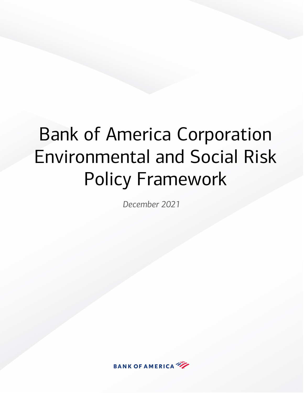# Bank of America Corporation Environmental and Social Risk Policy Framework

*December 2021*

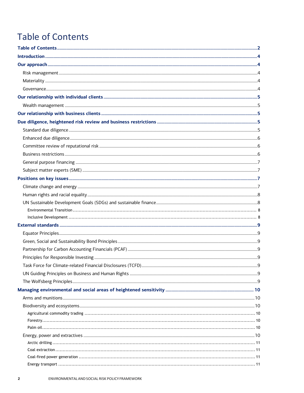# <span id="page-1-0"></span>**Table of Contents**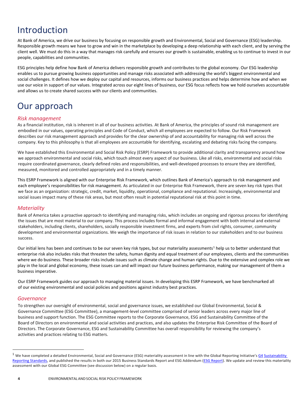# <span id="page-3-0"></span>Introduction

At Bank of America, we drive our business by focusing on responsible growth and Environmental, Social and Governance (ESG) leadership. Responsible growth means we have to grow and win in the marketplace by developing a deep relationship with each client, and by serving the client well. We must do this in a way that manages risk carefully and ensures our growth is sustainable, enabling us to continue to invest in our people, capabilities and communities.

ESG principles help define how Bank of America delivers responsible growth and contributes to the global economy. Our ESG leadership enables us to pursue growing business opportunities and manage risks associated with addressing the world's biggest environmental and social challenges. It defines how we deploy our capital and resources, informs our business practices and helps determine how and when we use our voice in support of our values. Integrated across our eight lines of business, our ESG focus reflects how we hold ourselves accountable and allows us to create shared success with our clients and communities.

# <span id="page-3-1"></span>Our approach

# <span id="page-3-2"></span>*Risk management*

As a financial institution, risk is inherent in all of our business activities. At Bank of America, the principles of sound risk management are embodied in our values, operating principles and Code of Conduct, which all employees are expected to follow. Our Risk Framework describes our risk management approach and provides for the clear ownership of and accountability for managing risk well across the company. Key to this philosophy is that all employees are accountable for identifying, escalating and debating risks facing the company.

We have established this Environmental and Social Risk Policy (ESRP) Framework to provide additional clarity and transparency around how we approach environmental and social risks, which touch almost every aspect of our business. Like all risks, environmental and social risks require coordinated governance, clearly defined roles and responsibilities, and well-developed processes to ensure they are identified, measured, monitored and controlled appropriately and in a timely manner.

This ESRP Framework is aligned with our Enterprise Risk Framework, which outlines Bank of America's approach to risk management and each employee's responsibilities for risk management. As articulated in our Enterprise Risk Framework, there are seven key risk types that we face as an organization: strategic, credit, market, liquidity, operational, compliance and reputational. Increasingly, environmental and social issues impact many of these risk areas, but most often result in potential reputational risk at this point in time.

# <span id="page-3-3"></span>*Materiality*

Bank of America takes a proactive approach to identifying and managing risks, which includes an ongoing and rigorous process for identifying the issues that are most material to our company. This process includes formal and informal engagement with both internal and external stakeholders, including clients, shareholders, socially responsible investment firms, and experts from civil rights, consumer, community development and environmental organizations. We weigh the importance of risk issues in relation to our stakeholders and to our business success.

Our initial lens has been and continues to be our seven key risk types, but our materiality assessments<sup>[1](#page-3-5)</sup> help us to better understand that enterprise risk also includes risks that threaten the safety, human dignity and equal treatment of our employees, clients and the communities where we do business. These broader risks include issues such as climate change and human rights. Due to the extensive and complex role we play in the local and global economy, these issues can and will impact our future business performance, making our management of them a business imperative.

Our ESRP Framework guides our approach to managing material issues. In developing this ESRP Framework, we have benchmarked all of our existing environmental and social policies and positions against industry best practices.

# <span id="page-3-4"></span>*Governance*

To strengthen our oversight of environmental, social and governance issues, we established our Global Environmental, Social & Governance Committee (ESG Committee), a management-level committee comprised of senior leaders across every major line of business and support function. The ESG Committee reports to the Corporate Governance, ESG and Sustainability Committee of the Board of Directors on environmental and social activities and practices, and also updates the Enterprise Risk Committee of the Board of Directors. The Corporate Governance, ESG and Sustainability Committee has overall responsibility for reviewing the company's activities and practices relating to ESG matters.

 $\overline{a}$ 

<span id="page-3-5"></span> $1$  We have completed a detailed Environmental, Social and Governance (ESG) materiality assessment in line with the Global Reporting Initiative's  $\underline{G4}$  Sustainability [Reporting Standards,](https://www.globalreporting.org/) and published the results in both our 2015 Business Standards Report and ESG Addendum ([ESG Report\)](https://about.bankofamerica.com/en-us/what-guides-us/reporting.html#fbid%3DhonN3prztOj). We update and review this materiality assessment with our Global ESG Committee (see discussion below) on a regular basis.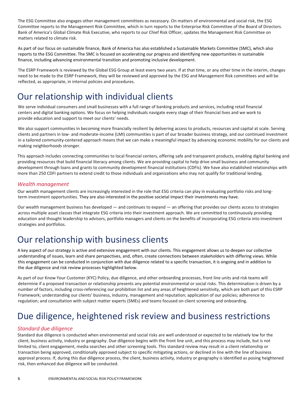The ESG Committee also engages other management committees as necessary. On matters of environmental and social risk, the ESG Committee reports to the Management Risk Committee, which in turn reports to the Enterprise Risk Committee of the Board of Directors. Bank of America's Global Climate Risk Executive, who reports to our Chief Risk Officer, updates the Management Risk Committee on matters related to climate risk.

As part of our focus on sustainable finance, Bank of America has also established a Sustainable Markets Committee (SMC), which also reports to the ESG Committee. The SMC is focused on accelerating our progress and identifying new opportunities in sustainable finance, including advancing environmental transition and promoting inclusive development.

The ESRP Framework is reviewed by the Global ESG Group at least every two years. If at that time, or any other time in the interim, changes need to be made to the ESRP Framework, they will be reviewed and approved by the ESG and Management Risk committees and will be reflected, as appropriate, in internal policies and procedures.

# <span id="page-4-0"></span>Our relationship with individual clients

We serve individual consumers and small businesses with a full range of banking products and services, including retail financial centers and digital banking options. We focus on helping individuals navigate every stage of their financial lives and we work to provide education and support to meet our clients' needs.

We also support communities in becoming more financially resilient by delivering access to products, resources and capital at scale. Serving clients and partners in low- and moderate-income (LMI) communities is part of our broader business strategy, and our continued investment in a tailored community-centered approach means that we can make a meaningful impact by advancing economic mobility for our clients and making neighborhoods stronger.

This approach includes connecting communities to local financial centers, offering safe and transparent products, enabling digital banking and providing resources that build financial literacy among clients. We are providing capital to help drive small business and community development through loans and grants to community development financial institutions (CDFIs). We have also established relationships with more than 250 CDFI partners to extend credit to those individuals and organizations who may not qualify for traditional lending.

### <span id="page-4-1"></span>*Wealth management*

Our wealth management clients are increasingly interested in the role that ESG criteria can play in evaluating portfolio risks and longterm investment opportunities. They are also interested in the positive societal impact their investments may have.

Our wealth management business has developed — and continues to expand — an offering that provides our clients access to strategies across multiple asset classes that integrate ESG criteria into their investment approach. We are committed to continuously providing education and thought leadership to advisors, portfolio managers and clients on the benefits of incorporating ESG criteria into investment strategies and portfolios.

# <span id="page-4-2"></span>Our relationship with business clients

A key aspect of our strategy is active and extensive engagement with our clients. This engagement allows us to deepen our collective understanding of issues, learn and share perspectives, and, often, create connections between stakeholders with differing views. While this engagement can be conducted in conjunction with due diligence related to a specific transaction, it is ongoing and in addition to the due diligence and risk review processes highlighted below.

As part of our Know Your Customer (KYC) Policy, due diligence, and other onboarding processes, front line units and risk teams will determine if a proposed transaction or relationship presents any potential environmental or social risks. This determination is driven by a number of factors, including cross-referencing our prohibition list and any areas of heightened sensitivity, which are both part of this ESRP Framework; understanding our clients' business, industry, management and reputation; application of our policies; adherence to regulation; and consultation with subject matter experts (SMEs) and teams focused on client screening and onboarding.

# <span id="page-4-3"></span>Due diligence, heightened risk review and business restrictions

### <span id="page-4-4"></span>*Standard due diligence*

Standard due diligence is conducted when environmental and social risks are well understood or expected to be relatively low for the client, business activity, industry or geography. Due diligence begins with the front line unit, and this process may include, but is not limited to, client engagement, media searches and other screening tools. This standard review may result in a client relationship or transaction being approved, conditionally approved subject to specific mitigating actions, or declined in line with the line of business approval process. If, during this due diligence process, the client, business activity, industry or geography is identified as posing heightened risk, then enhanced due diligence will be conducted.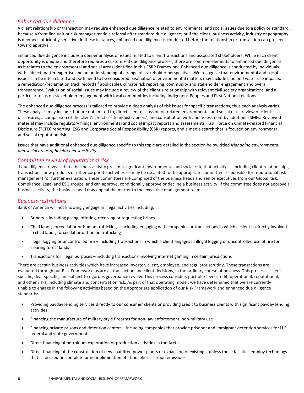### <span id="page-5-0"></span>*Enhanced due diligence*

A client relationship or transaction may require enhanced due diligence related to environmental and social issues due to a policy or standard, because a front line unit or risk manager made a referral after standard due diligence; or if the client, business activity, industry or geography is deemed sufficiently sensitive. In these instances, enhanced due diligence is conducted before the relationship or transaction can proceed toward approval.

Enhanced due diligence includes a deeper analysis of issues related to client transactions and associated stakeholders. While each client opportunity is unique and therefore requires a customized due diligence process, there are common elements to enhanced due diligence as it relates to the environmental and social areas identified in this ESRP Framework. Enhanced due diligence is conducted by individuals with subject matter expertise and an understanding of a range of stakeholder perspectives. We recognize that environmental and social issues can be interrelated and both need to be considered. Evaluation of environmental matters may include land and water use impacts, a remediation/reclamation track record (if applicable), climate risk reporting, community and stakeholder engagement and overall transparency. Evaluation of social issues may include a review of the client's relationship with relevant civil society organizations, and a particular focus on stakeholder engagement with local communities including Indigenous Peoples and First Nations relations.

The enhanced due diligence process is tailored to provide a deep analysis of risk issues for specific transactions, thus each analysis varies. These analyses may include, but are not limited to, direct client discussion on related environmental and social risks, review of client disclosures, a comparison of the client's practices to industry peers', and consultation with and assessment by additional SMEs. Reviewed material may include regulatory filings, environmental and social impact reports and assessments, Task Force on Climate-related Financial Disclosure (TCFD) reporting, ESG and Corporate Social Responsibility (CSR) reports, and a media search that is focused on environmental and social reputation risk.

Issues that have additional enhanced due diligence specific to this topic are detailed in the section below titled *Managing environmental and social areas of heightened sensitivity.*

### <span id="page-5-1"></span>*Committee review of reputational risk*

If due diligence reveals that a business activity presents significant environmental and social risk, that activity — including client relationships, transactions, new products or other corporate activities — may be escalated to the appropriate committee responsible for reputational risk management for further evaluation. These committees are comprised of the business heads and senior executives from our Global Risk, Compliance, Legal and ESG groups, and can approve, conditionally approve or decline a business activity. If the committee does not approve a business activity, the business head may appeal the matter to the executive management team.

#### <span id="page-5-2"></span>*Business restrictions*

Bank of America will not knowingly engage in illegal activities including:

- Bribery including giving, offering, receiving or requesting bribes
- Child labor, forced labor or human trafficking including engaging with companies or transactions in which a client is directly involved in child labor, forced labor or human trafficking
- Illegal logging or uncontrolled fire including transactions in which a client engages in illegal logging or uncontrolled use of fire for clearing forest lands
- Transactions for illegal purposes including transactions involving internet gaming in certain jurisdictions

There are certain business activities which have increased investor, client, employee, and regulator scrutiny. These transactions are evaluated through our Risk Framework, as are all transaction and client decisions, in the ordinary course of business. This process is clientspecific, deal-specific, and subject to rigorous governance review. This process considers portfolio-level credit, operational, reputational, and other risks, including climate and concentration risk. As part of that operating model, we have determined that we are currently unable to engage in the following activities based on the appropriate application of our Risk Framework and enhanced due diligence standards:

- Providing payday lending services directly to our consumer clients or providing credit to business clients with significant payday lending activities
- Financing the manufacture of military-style firearms for non-law enforcement, non-military use
- Financing private prisons and detention centers including companies that provide prisoner and immigrant detention services for U.S. federal and state governments
- Direct financing of petroleum exploration or production activities in the Arctic
- Direct financing of the construction of new coal-fired power plants or expansion of existing unless those facilities employ technology that is focused on complete or near elimination of atmospheric carbon emissions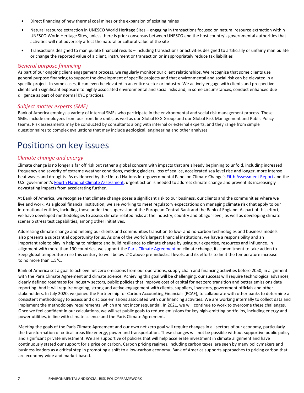- Direct financing of new thermal coal mines or the expansion of existing mines
- Natural resource extraction in UNESCO World Heritage Sites engaging in transactions focused on natural resource extraction within UNESCO World Heritage Sites, unless there is prior consensus between UNESCO and the host country's governmental authorities that activities will not adversely affect the natural or cultural value of the site
- Transactions designed to manipulate financial results including transactions or activities designed to artificially or unfairly manipulate or change the reported value of a client, instrument or transaction or inappropriately reduce tax liabilities

#### <span id="page-6-0"></span>*General purpose financing*

As part of our ongoing client engagement process, we regularly monitor our client relationships. We recognize that some clients use general purpose financing to support the development of specific projects and that environmental and social risk can be elevated in a specific project. In some cases, it can even be elevated in an entire sector or industry. We actively engage with clients and prospective clients with significant exposure to highly associated environmental and social risks and, in some circumstances, conduct enhanced due diligence as part of our normal KYC practices.

#### <span id="page-6-1"></span>*Subject matter experts (SME)*

Bank of America employs a variety of internal SMEs who participate in the environmental and social risk management process. These SMEs include employees from our front line units, as well as our Global ESG Group and our Global Risk Management and Public Policy teams. Risk assessments may be conducted by consultants along with internal or external experts, and they range from simple questionnaires to complex evaluations that may include geological, engineering and other analyses.

# <span id="page-6-2"></span>Positions on key issues

#### <span id="page-6-3"></span>*Climate change and energy*

Climate change is no longer a far off risk but rather a global concern with impacts that are already beginning to unfold, including increased frequency and severity of extreme weather conditions, melting glaciers, loss of sea ice, accelerated sea level rise and longer, more intense heat waves and droughts. As evidenced by the United Nations Intergovernmental Panel on Climate Change's [Fifth Assessment Report](https://www.ipcc.ch/assessment-report/ar5/) and the U.S. government's [Fourth National Climate Assessment,](https://nca2018.globalchange.gov/) urgent action is needed to address climate change and prevent its increasingly devastating impacts from accelerating further.

At Bank of America, we recognize that climate change poses a significant risk to our business, our clients and the communities where we live and work. As a global financial institution, we are working to meet regulatory expectations on managing climate risk that apply to our international entities, including those under the supervision of the European Central Bank and the Bank of England. As part of this effort, we have developed methodologies to assess climate-related risks at the industry, country and obligor-level, as well as developing climate scenario stress test capabilities, among other initiatives.

Addressing climate change and helping our clients and communities transition to low- and no-carbon technologies and business models also presents a substantial opportunity for us. As one of the world's largest financial institutions, we have a responsibility and an important role to play in helping to mitigate and build resilience to climate change by using our expertise, resources and influence. In alignment with more than 190 countries, we support the [Paris Climate Agreement](https://unfccc.int/process-and-meetings/the-paris-agreement/the-paris-agreement) on climate change, its commitment to take action to keep global temperature rise this century to well below 2°C above pre-industrial levels, and its efforts to limit the temperature increase to no more than 1.5°C.

Bank of America set a goal to achieve net zero emissions from our operations, supply chain and financing activities before 2050, in alignment with the Paris Climate Agreement and climate science. Achieving this goal will be challenging: our success will require technological advances, clearly defined roadmaps for industry sectors, public policies that improve cost of capital for net zero transition and better emissions data reporting. And it will require ongoing, strong and active engagement with clients, suppliers, investors, government officials and other stakeholders. In July 2020, we joined the Partnership for Carbon Accounting Financials (PCAF), to collaborate with other banks to determine a consistent methodology to assess and disclose emissions associated with our financing activities. We are working internally to collect data and implement the methodology requirements, which are not inconsequential. In 2021, we will continue to work to overcome these challenges. Once we feel confident in our calculations, we will set public goals to reduce emissions for key high-emitting portfolios, including energy and power utilities, in line with climate science and the Paris Climate Agreement.

Meeting the goals of the Paris Climate Agreement and our own net zero goal will require changes in all sectors of our economy, particularly the transformation of critical areas like energy, power and transportation. These changes will not be possible without supportive public policy and significant private investment. We are supportive of policies that will help accelerate investment in climate alignment and have continuously stated our support for a price on carbon. Carbon pricing regimes, including carbon taxes, are seen by many policymakers and business leaders as a critical step in promoting a shift to a low-carbon economy. Bank of America supports approaches to pricing carbon that are economy-wide and market-based.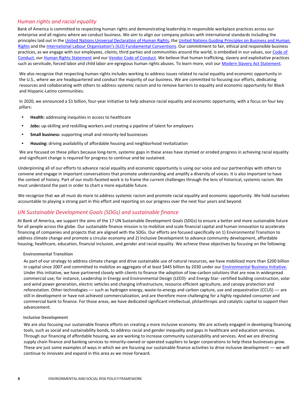# <span id="page-7-0"></span>*Human rights and racial equality*

Bank of America is committed to respecting human rights and demonstrating leadership in responsible workplace practices across our enterprise and all regions where we conduct business. We aim to align our company policies with international standards including the principles laid out in th[e United Nations Universal Declaration of Human Rights](https://www.un.org/en/universal-declaration-human-rights/), the [United Nations Guiding Principles on Business and Human](https://www.ungpreporting.org/resources/the-ungps/)  [Rights](https://www.ungpreporting.org/resources/the-ungps/) and the [International Labour Organization's \(ILO\) Fundamental Conventions.](https://www.ilo.org/declaration/info/publications/WCMS_095895/lang--en/index.htm) Our commitment to fair, ethical and responsible business practices, as we engage with our employees, clients, third parties and communities around the world, is embodied in our values, our Code of [Conduct](http://investor.bankofamerica.com/index.php/corporate-governance/code-of-conduct), ou[r Human Rights Statement](https://about.bankofamerica.com/assets/pdf/human-rights-statement.pdf) and our [Vendor Code of Conduct.](https://about.bankofamerica.com/assets/pdf/Bank_of_America_Vendor_Code_of_Conduct.pdf) We believe that human trafficking, slavery and exploitative practices such as servitude, forced labor and child labor are egregious human rights abuses. To learn more, visit our [Modern Slavery Act Statement](https://about.bankofamerica.com/assets/pdf/Modern-Slavery-Act.pdf).

We also recognize that respecting human rights includes working to address issues related to racial equality and economic opportunity in the U.S., where we are headquartered and conduct the majority of our business. We are committed to focusing our efforts, dedicating resources and collaborating with others to address systemic racism and to remove barriers to equality and economic opportunity for Black and Hispanic-Latino communities.

In 2020, we announced a \$1 billion, four-year initiative to help advance racial equality and economic opportunity, with a focus on four key pillars:

- **Health:** addressing inequities in access to healthcare
- **Jobs:** up-skilling and reskilling workers and creating a pipeline of talent for employers
- **Small business:** supporting small and minority-led businesses
- **Housing:** driving availability of affordable housing and neighborhood revitalization

We are focused on these pillars because long-term, systemic gaps in these areas have stymied or eroded progress in achieving racial equality and significant change is required for progress to continue and be sustained.

Underpinning all of our efforts to advance racial equality and economic opportunity is using our voice and our partnerships with others to convene and engage in important conversations that promote understanding and amplify a diversity of voices. It is also important to have the context of history. Part of our multi-faceted work is to frame the current challenges through the lens of historical, systemic racism. We must understand the past in order to chart a more equitable future.

We recognize that we all must do more to address systemic racism and promote racial equality and economic opportunity. We hold ourselves accountable to playing a strong part in this effort and reporting on our progress over the next four years and beyond.

# <span id="page-7-1"></span>*UN Sustainable Development Goals (SDGs) and sustainable finance*

At Bank of America, we support the aims of the 17 UN Sustainable Development Goals (SDGs) to ensure a better and more sustainable future for all people across the globe. Our sustainable finance mission is to mobilize and scale financial capital and human innovation to accelerate financing of companies and projects that are aligned with the SDGs. Our efforts are focused specifically on 1) Environmental Transition to address climate change and promote a circular economy and 2) Inclusive Development to advance community development, affordable housing, healthcare, education, financial inclusion, and gender and racial equality. We achieve these objectives by focusing on the following:

#### <span id="page-7-2"></span>**Environmental Transition**

As part of our strategy to address climate change and drive sustainable use of natural resources, we have mobilized more than \$200 billion in capital since 2007 and committed to mobilize an aggregate of at least \$445 billion by 2030 under our [Environmental](https://about.bankofamerica.com/en-us/what-guides-us/environmental-sustainability.html) [Business Initiative](https://about.bankofamerica.com/en-us/what-guides-us/environmental-sustainability.html). Under this initiative, we have partnered closely with clients to finance the adoption of low-carbon solutions that are now in widespread commercial use; for instance, Leadership in Energy and Environmental Design (LEED)- and Energy Star- certified building construction, solar and wind power generation, electric vehicles and charging infrastructure, resource efficient agriculture, and canopy protection and reforestation. Other technologies — such as hydrogen energy, waste-to-energy and carbon capture, use and sequestration (CCUS) — are still in development or have not achieved commercialization, and are therefore more challenging for a highly regulated consumer and commercial bank to finance. For those areas, we have dedicated significant intellectual, philanthropic and catalytic capital to support their advancement.

#### <span id="page-7-3"></span>**Inclusive Development**

We are also focusing our sustainable finance efforts on creating a more inclusive economy. We are actively engaged in developing financing tools, such as social and sustainability bonds, to address racial and gender inequality and gaps in healthcare and education services. Through our financing of affordable housing, we are working to increase community sustainability and services. And we are directing supply chain finance and banking services to minority-owned or operated suppliers to larger corporations to help these businesses grow. These are just some examples of ways in which we are focusing our sustainable finance activities to drive inclusive development — we will continue to innovate and expand in this area as we move forward.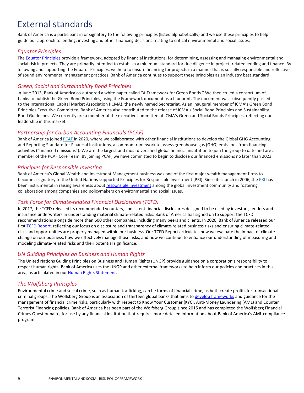# <span id="page-8-0"></span>External standards

Bank of America is a participant in or signatory to the following principles (listed alphabetically) and we use these principles to help guide our approach to lending, investing and other financing decisions relating to critical environmental and social issues.

### <span id="page-8-1"></span>*Equator Principles*

The [Equator Principles](https://equator-principles.com/) provide a framework, adopted by financial institutions, for determining, assessing and managing environmental and social risk in projects. They are primarily intended to establish a minimum standard for due diligence in project- related lending and finance. By following and supporting the Equator Principles, we help to ensure financing for projects in a manner that is socially responsible and reflective of sound environmental management practices. Bank of America continues to support these principles as an industry best standard.

# <span id="page-8-2"></span>*Green, Social and Sustainability Bond Principles*

In June 2013, Bank of America co-authored a white paper called "A Framework for Green Bonds." We then co-led a consortium of banks to publish th[e Green Bond Principles,](https://www.icmagroup.org/green-social-and-sustainability-bonds/green-bond-principles-gbp/) using the Framework document as a blueprint. The document was subsequently passed to the International Capital Market Association (ICMA), the newly named Secretariat. As an inaugural member of ICMA's Green Bond Principles Executive Committee, Bank of America also contributed to the release o[f ICMA's Social Bond Principles](https://www.icmagroup.org/green-social-and-sustainability-bonds/social-bond-principles-sbp/) an[d Sustainability](https://www.icmagroup.org/green-social-and-sustainability-bonds/sustainability-bond-guidelines-sbg/)  [Bond Guidelines.](https://www.icmagroup.org/green-social-and-sustainability-bonds/sustainability-bond-guidelines-sbg/) We currently are a member of the executive committee of ICMA's Green and Social Bonds Principles, reflecting our leadership in this market.

# <span id="page-8-3"></span>*Partnership for Carbon Accounting Financials (PCAF)*

Bank of America joined [PCAF](https://carbonaccountingfinancials.com/) in 2020, where we collaborated with other financial institutions to develop the Global GHG Accounting and Reporting Standard for Financial Institutions, a common framework to assess greenhouse gas (GHG) emissions from financing activities ("financed emissions"). We are the largest and most diversified global financial institution to join the group to date and are a member of the PCAF Core Team. By joining PCAF, we have committed to begin to disclose our financed emissions no later than 2023.

### <span id="page-8-4"></span>*Principles for Responsible Investing*

Bank of America's Global Wealth and Investment Management business was one of the first major wealth management firms to become a signatory to the United Nations-supported Principles for Responsible Investment (PRI). Since its launch in 2006, the [PRI](https://www.unpri.org/) has been instrumental in raising awareness abou[t responsible investment](https://www.unpri.org/pri/what-are-the-principles-for-responsible-investment) among the global investment community and fostering collaboration among companies and policymakers on environmental and social issues.

# <span id="page-8-5"></span>*Task Force for Climate-related Financial Disclosures (TCFD)*

In 2017, the TCFD released its recommended voluntary, consistent financial disclosures designed to be used by investors, lenders and insurance underwriters in understanding material climate-related risks. Bank of America has signed on to support the TCFD recommendations alongside more than 600 other companies, including many peers and clients. In 2020, Bank of America released our firs[t TCFD Report](https://about.bankofamerica.com/en-us/what-guides-us/task-force-on-climate-related-financial-disclosures-report.html), reflecting our focus on disclosure and transparency of climate-related business risks and ensuring climate-related risks and opportunities are properly managed within our business. Our TCFD Report articulates how we evaluate the impact of climate change on our business, how we effectively manage those risks, and how we continue to enhance our understanding of measuring and modeling climate-related risks and their potential significance.

### <span id="page-8-6"></span>*UN Guiding Principles on Business and Human Rights*

The United Nations Guiding Principles on Business and Human Rights (UNGP) provide guidance on a corporation's responsibility to respect human rights. Bank of America uses the UNGP and other external frameworks to help inform our policies and practices in this area, as articulated in our [Human Rights Statement.](https://about.bankofamerica.com/assets/pdf/human-rights-statement.pdf)

### <span id="page-8-7"></span>*The Wolfsberg Principles*

Environmental crime and social crime, such as human trafficking, can be forms of financial crime, as both create profits for transactional criminal groups. The Wolfsberg Group is an association of thirteen global banks that aims t[o develop frameworks](https://www.wolfsberg-principles.com/) and guidance for the management of financial crime risks, particularly with respect to Know Your Customer (KYC), Anti-Money Laundering (AML) and Counter Terrorist Financing policies. Bank of America has been part of the Wolfsberg Group since 2015 and has completed the Wolfsberg Financial Crimes Questionnaire, for use by any financial institution that requires more detailed information about Bank of America's AML compliance program.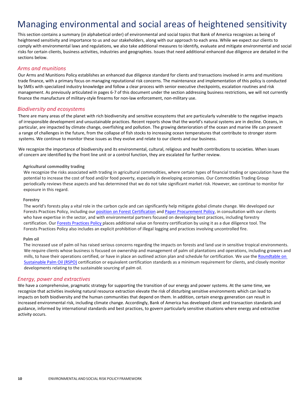# <span id="page-9-0"></span>Managing environmental and social areas of heightened sensitivity

This section contains a summary (in alphabetical order) of environmental and social topics that Bank of America recognizes as being of heightened sensitivity and importance to us and our stakeholders, along with our approach to each area. While we expect our clients to comply with environmental laws and regulations, we also take additional measures to identify, evaluate and mitigate environmental and social risks for certain clients, business activities, industries and geographies. Issues that need additional enhanced due diligence are detailed in the sections below.

### <span id="page-9-1"></span>*Arms and munitions*

Our Arms and Munitions Policy establishes an enhanced due diligence standard for clients and transactions involved in arms and munitions trade finance, with a primary focus on managing reputational risk concerns. The maintenance and implementation of this policy is conducted by SMEs with specialized industry knowledge and follow a clear process with senior executive checkpoints, escalation routines and risk management. As previously articulated in pages 6-7 of this document under the section addressing business restrictions, we will not currently finance the manufacture of military-style firearms for non-law enforcement, non-military use.

#### *Biodiversity and ecosystems*

<span id="page-9-2"></span>There are many areas of the planet with rich biodiversity and sensitive ecosystems that are particularly vulnerable to the negative impacts of irresponsible development and unsustainable practices. Recent reports show that the world's natural systems are in decline. Oceans, in particular, are impacted by climate change, overfishing and pollution. The growing deterioration of the ocean and marine life can present a range of challenges in the future, from the collapse of fish stocks to increasing ocean temperatures that contribute to stronger storm systems. We continue to monitor these issues as they evolve and relate to our clients and our business.

We recognize the importance of biodiversity and its environmental, cultural, religious and health contributions to societies. When issues of concern are identified by the front line unit or a control function, they are escalated for further review.

#### **Agricultural commodity trading**

<span id="page-9-3"></span>We recognize the risks associated with trading in agricultural commodities, where certain types of financial trading or speculation have the potential to increase the cost of food and/or food poverty, especially in developing economies. Our Commodities Trading Group periodically reviews these aspects and has determined that we do not take significant market risk. However, we continue to monitor for exposure in this regard.

#### **Forestry**

<span id="page-9-4"></span>The world's forests play a vital role in the carbon cycle and can significantly help mitigate global climate change. We developed our Forests Practices Policy, including our [position on Forest Certification](https://about.bankofamerica.com/assets/pdf/Forest_Certification.pdf) an[d Paper Procurement Policy](https://about.bankofamerica.com/assets/pdf/Paper_Procurement_Policy.pdf), in consultation with our clients who have expertise in the sector, and with environmental partners focused on developing best practices, including forestry certification. Our [Forests Practices Policy](https://about.bankofamerica.com/assets/pdf/Forest_Practices.pdf) places additional value on forestry certification by using it as a due diligence tool. The Forests Practices Policy also includes an explicit prohibition of illegal logging and practices involving uncontrolled fire.

#### **Palm oil**

<span id="page-9-5"></span>The increased use of palm oil has raised serious concerns regarding the impacts on forests and land use in sensitive tropical environments. We require clients whose business is focused on ownership and management of palm oil plantations and operations, including growers and mills, to have their operations certified, or have in place an outlined action plan and schedule for certification. We use the Roundtable on Sustainable Palm Oil (RSPO) certification or equivalent certification standards as a minimum requirement for clients, and closely monitor developments relating to the sustainable sourcing of palm oil.

#### *E[nergy, power and extrac](https://rspo.org/)tives*

<span id="page-9-6"></span>We have a comprehensive, pragmatic strategy for supporting the transition of our energy and power systems. At the same time, we recognize that activities involving natural resource extraction elevate the risk of disturbing sensitive environments which can lead to impacts on both biodiversity and the human communities that depend on them. In addition, certain energy generation can result in increased environmental risk, including climate change. Accordingly, Bank of America has developed client and transaction standards and guidance, informed by international standards and best practices, to govern particularly sensitive situations where energy and extractive activity occurs.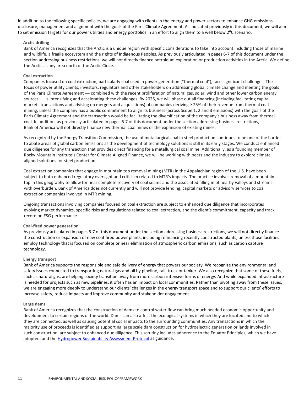In addition to the following specific policies, we are engaging with clients in the energy and power sectors to enhance GHG emissions disclosure, management and alignment with the goals of the Paris Climate Agreement. As indicated previously in this document, we will aim to set emission targets for our power utilities and energy portfolios in an effort to align them to a well below 2<sup>o</sup>C scenario.

#### <span id="page-10-0"></span>**Arctic drilling**

Bank of America recognizes that the Arctic is a unique region with specific considerations to take into account including those of marine and wildlife, a fragile ecosystem and the rights of Indigenous Peoples. As previously articulated in pages 6-7 of this document under the section addressing business restrictions, we will not directly finance petroleum exploration or production activities in the Arctic. We define the Arctic as any area north of the Arctic Circle.

#### <span id="page-10-1"></span>**Coal extraction**

Companies focused on coal extraction, particularly coal used in power generation ("thermal coal"), face significant challenges. The focus of power utility clients, investors, regulators and other stakeholders on addressing global climate change and meeting the goals of the Paris Climate Agreement — combined with the recent proliferation of natural gas, solar, wind and other lower carbon energy sources — is intensifying and accelerating these challenges. By 2025, we will phase out all financing (including facilitating capital markets transactions and advising on mergers and acquisitions) of companies deriving ≥ 25% of their revenue from thermal coal mining, unless the company has a public commitment to align its business (across Scope 1, 2 and 3 emissions) with the goals of the Paris Climate Agreement and the transaction would be facilitating the diversification of the company's business away from thermal coal. In addition, as previously articulated in pages 6-7 of this document under the section addressing business restrictions, Bank of America will not directly finance new thermal coal mines or the expansion of existing mines.

As recognized by the Energy Transition Commission, the use of metallurgical coal in steel production continues to be one of the harder to abate areas of global carbon emissions as the development of technology solutions is still in its early stages. We conduct enhanced due diligence for any transaction that provides direct financing for a metallurgical coal mine. Additionally, as a founding member of Rocky Mountain Institute's Center for Climate Aligned Finance, we will be working with peers and the industry to explore climate aligned solutions for steel production.

Coal extraction companies that engage in mountain top removal mining (MTR) in the Appalachian region of the U.S. have been subject to both enhanced regulatory oversight and criticism related to MTR's impacts. The practice involves removal of a mountain top in this geography to allow for near complete recovery of coal seams and the associated filling in of nearby valleys and streams with overburden. Bank of America does not currently and will not provide lending, capital markets or advisory services to coal extraction companies involved in MTR mining.

Ongoing transactions involving companies focused on coal extraction are subject to enhanced due diligence that incorporates evolving market dynamics, specific risks and regulations related to coal extraction, and the client's commitment, capacity and track record on ESG performance.

#### <span id="page-10-2"></span>**Coal-fired power generation**

As previously articulated in pages 6-7 of this document under the section addressing business restrictions, we will not directly finance the construction or expansion of new coal-fired power plants, including refinancing recently constructed plants, unless those facilities employ technology that is focused on complete or near elimination of atmospheric carbon emissions, such as carbon capture technology.

#### <span id="page-10-3"></span>**Energy transport**

Bank of America supports the responsible and safe delivery of energy that powers our society. We recognize the environmental and safety issues connected to transporting natural gas and oil by pipeline, rail, truck or tanker. We also recognize that some of these fuels, such as natural gas, are helping society transition away from more carbon-intensive forms of energy. And while expanded infrastructure is needed for projects such as new pipelines, it often has an impact on local communities. Rather than pivoting away from these issues, we are engaging more deeply to understand our clients' challenges in the energy transport space and to support our clients' efforts to increase safety, reduce impacts and improve community and stakeholder engagement.

#### <span id="page-10-4"></span>**Large dams**

Bank of America recognizes that the construction of dams to control water flow can bring much needed economic opportunity and development to certain regions of the world. Dams can also affect the ecological systems in which they are located and to which they are connected, as well as causing potential social impacts to the surrounding communities. Any transactions in which the majority use of proceeds is identified as supporting large scale dam construction for hydroelectric generation or lands involved in such construction, are subject to enhanced due diligence. This scrutiny includes adherence to the Equator Principles, which we have adopted, and the **Hydropower Sustainability Assessment Protocol** as guidance.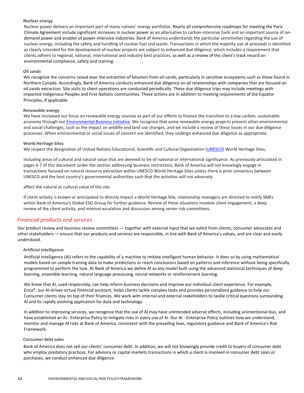#### <span id="page-11-0"></span>**Nuclear energy**

Nuclear power delivers an important part of many nations' energy portfolios. Nearly all comprehensive roadmaps for meeting the Paris Climate Agreement include significant increases in nuclear power as an alternative to carbon-intensive fuels and an important source of ondemand power and enabler of power-intensive industries. Bank of America understands the particular sensitivities regarding the use of nuclear energy, including the safety and handling of nuclear fuel and waste. Transactions in which the majority use of proceeds is identified as clearly intended for the development of nuclear projects are subject to enhanced due diligence, which includes a requirement that clients adhere to regional, national, international and industry best practices, as well as a review of the client's track record on environmental compliance, safety and training.

#### <span id="page-11-1"></span>**Oil sands**

We recognize the concerns raised over the extraction of bitumen from oil sands, particularly in sensitive ecosystems such as those found in Northern Canada. Accordingly, Bank of America conducts enhanced due diligence on all relationships with companies that are focused on oil sands extraction. Site visits to client operations are conducted periodically. These due diligence trips may include meetings with impacted Indigenous Peoples and First Nations communities. These actions are in addition to meeting requirements of the Equator Principles, if applicable.

#### <span id="page-11-2"></span>**Renewable energy**

We have increased our focus on renewable energy sources as part of our efforts to finance the transition to a low-carbon, sustainable economy through our [Environmental Business Initiative](https://about.bankofamerica.com/en-us/what-guides-us/environmental-sustainability.html#fbid%3DpSv1D0kOwxc). We recognize that some renewable energy projects present other environmental and social challenges, such as the impact on wildlife and land use changes, and we include a review of these issues in our due diligence processes. When environmental or social issues of concern are identified, they undergo enhanced due diligence as appropriate.

#### <span id="page-11-3"></span>**World Heritage Sites**

We respect the designation of United Nations Educational, Scientific and Cultural Organization [\(UNESCO](https://en.unesco.org/)) World Heritage Sites,

including areas of cultural and natural value that are deemed to be of national or international significance. As previously articulated in pages 6-7 of this document under the section addressing business restrictions, Bank of America will not knowingly engage in transactions focused on natural resource extraction within UNESCO World Heritage Sites unless there is prior consensus between UNESCO and the host country's governmental authorities such that the activities will not adversely

affect the natural or cultural value of the site.

If client activity is known or anticipated to directly impact a World Heritage Site, relationship managers are directed to notify SMEs within Bank of America's Global ESG Group for further guidance. Review of these situations involves client engagement, a deep review of the client activity, and internal escalation and discussion among senior risk committees.

### <span id="page-11-4"></span>*Financial products and services*

Our product review and business review committees — together with external input that we solicit from clients, consumer advocates and other stakeholders — ensure that our products and services are responsible, in line with Bank of America's values, and are clear and easily understood.

#### <span id="page-11-5"></span>**Artificial Intelligence**

Artificial Intelligence (AI) refers to the capability of a machine to imitate intelligent human behavior. It does so by using mathematical models based on sample training data to make predictions or reach conclusions based on patterns and inference without being specifically programmed to perform the task. At Bank of America we define AI as any model built using the advanced statistical techniques of deep learning, ensemble learning, natural language processing, neural networks or reinforcement learning.

We know that AI, used responsibly, can help inform business decisions and improve our individual client experience. For example, Erica®, our AI-driven virtual financial assistant, helps clients tackle complex tasks and provides personalized guidance to help our Consumer clients stay on top of their finances. We work with internal and external stakeholders to tackle critical questions surrounding AI and its rapidly evolving application for data and technology.

In addition to improving services, we recognize that the use of AI may have unintended adverse effects, including unintentional bias, and have established an AI - Enterprise Policy to mitigate risks in every use of AI. Our AI - Enterprise Policy outlines how we understand, monitor and manage AI risks at Bank of America, consistent with the prevailing laws, regulatory guidance and Bank of America's Risk Framework.

#### <span id="page-11-6"></span>**Consumer debt sales**

Bank of America does not sell our clients' consumer debt. In addition, we will not knowingly provide credit to buyers of consumer debt who employ predatory practices. For advisory or capital markets transactions in which a client is involved in consumer debt sales or purchases, we conduct enhanced due diligence.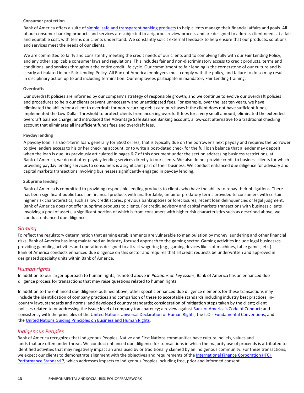#### <span id="page-12-0"></span>**Consumer protection**

Bank of America offers a suite of [simple, safe and transparent banking products](https://www.bankofamerica.com/information/personal/) to help clients manage their financial affairs and goals. All of our consumer banking products and services are subjected to a rigorous review process and are designed to address client needs at a fair and equitable cost, with terms our clients understand. We constantly solicit external feedback to help ensure that our products, solutions and services meet the needs of our clients.

We are committed to fairly and consistently meeting the credit needs of our clients and to complying fully with our Fair Lending Policy, and any other applicable consumer laws and regulations. This includes fair and non-discriminatory access to credit products, terms and conditions, and services throughout the entire credit life cycle. Our commitment to fair lending is the cornerstone of our culture and is clearly articulated in our Fair Lending Policy. All Bank of America employees must comply with the policy, and failure to do so may result in disciplinary action up to and including termination. Our employees participate in mandatory Fair Lending training.

#### <span id="page-12-1"></span>**Overdrafts**

Our overdraft policies are informed by our company's strategy of responsible growth, and we continue to evolve our overdraft policies and procedures to help our clients prevent unnecessary and unanticipated fees. For example, over the last ten years, we have eliminated the ability for a client to overdraft for non-recurring debit card purchases if the client does not have sufficient funds; implemented the Low Dollar Threshold to protect clients from incurring overdraft fees for a very small amount; eliminated the extended overdraft balance charge; and introduced the Advantage SafeBalance Banking account, a low-cost alternative to a traditional checking account that eliminates all insufficient funds fees and overdraft fees.

#### <span id="page-12-2"></span>**Payday lending**

A payday loan is a short-term loan, generally for \$500 or less, that is typically due on the borrower's next payday and requires the borrower to give lenders access to his or her checking account, or to write a post-dated check for the full loan balance that a lender may deposit when the loan is due. As previously articulated in pages 6-7 of this document under the section addressing business restrictions, at Bank of America, we do not offer payday lending services directly to our clients. We also do not provide credit to business clients for which providing payday lending services to consumers is a significant part of their business. We conduct enhanced due diligence for advisory and capital markets transactions involving businesses significantly engaged in payday lending.

#### <span id="page-12-3"></span>**Subprime lending**

Bank of America is committed to providing responsible lending products to clients who have the ability to repay their obligations. There has been significant public focus on financial products with unaffordable, unfair or predatory terms provided to consumers with certain higher risk characteristics, such as low credit scores, previous bankruptcies or foreclosures, recent loan delinquencies or legal judgment. Bank of America does not offer subprime products to clients. For credit, advisory and capital markets transactions with business clients involving a pool of assets, a significant portion of which is from consumers with higher risk characteristics such as described above, we conduct enhanced due diligence.

#### <span id="page-12-4"></span>*Gaming*

To reflect the regulatory determination that gaming establishments are vulnerable to manipulation by money laundering and other financial risks, Bank of America has long maintained an industry-focused approach to the gaming sector. Gaming activities include legal businesses providing gambling activities and operations designed to attract wagering (e.g., gaming devices like slot machines, table games, etc.). Bank of America conducts enhanced due diligence on this sector and requires that all credit requests be underwritten and approved in designated specialty units within Bank of America.

#### <span id="page-12-5"></span>*Human rights*

In addition to our larger approach to human rights, as noted above in *Positions on key issues*, Bank of America has an enhanced due diligence process for transactions that may raise questions related to human rights.

In addition to the enhanced due diligence outlined above, other specific enhanced due diligence elements for these transactions may include the identification of company practices and comparison of these to acceptable standards including industry best practices, incountry laws, standards and norms, and developed country standards; consideration of mitigation steps taken by the client; client policies related to or addressing the issue; level of company transparency; a review against [Bank of America's Code of](http://investor.bankofamerica.com/index.php/corporate-governance/code-of-conduct) Conduct; and consistency with the principles of the [United Nations Universal Declaration of Human Rights](https://www.un.org/en/universal-declaration-human-rights/), th[e ILO's Fundamental](https://libguides.ilo.org/c.php?g=657806&p=4649148) Conventions, and the [United Nations Guiding Principles on Business and Human Rights.](https://www.ohchr.org/documents/publications/guidingprinciplesbusinesshr_en.pdf)

### <span id="page-12-6"></span>*Indigenous Peoples*

Bank of America recognizes that Indigenous Peoples, Native and First Nations communities have cultural beliefs, values and lands that are often under threat. We conduct enhanced due diligence for transactions in which the majority use of proceeds is attributed to identified activities that may negatively impact an area used by or traditionally claimed by an indigenous community. For these transactions, we expect our clients to demonstrate alignment with the objectives and requirements of the [International Finance Corporation \(IFC\)](https://www.ifc.org/wps/wcm/connect/topics_ext_content/ifc_external_corporate_site/sustainability-at-ifc/policies-standards/performance-standards/ps7)  [Performance Standard 7,](https://www.ifc.org/wps/wcm/connect/topics_ext_content/ifc_external_corporate_site/sustainability-at-ifc/policies-standards/performance-standards/ps7) which addresses impacts to Indigenous Peoples including free, prior and informed consent.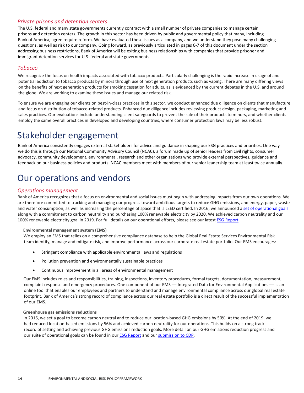# <span id="page-13-0"></span>*Private prisons and detention centers*

The U.S. federal and many state governments currently contract with a small number of private companies to manage certain prisons and detention centers. The growth in this sector has been driven by public and governmental policy that many, including Bank of America, agree require reform. We have evaluated these issues as a company, and we understand they pose many challenging questions, as well as risk to our company. Going forward, as previously articulated in pages 6-7 of this document under the section addressing business restrictions, Bank of America will be exiting business relationships with companies that provide prisoner and immigrant detention services for U.S. federal and state governments.

### <span id="page-13-1"></span>*Tobacco*

We recognize the focus on health impacts associated with tobacco products. Particularly challenging is the rapid increase in usage of and potential addiction to tobacco products by minors through use of next generation products such as vaping. There are many differing views on the benefits of next generation products for smoking cessation for adults, as is evidenced by the current debates in the U.S. and around the globe. We are working to examine these issues and manage our related risk.

To ensure we are engaging our clients on best-in-class practices in this sector, we conduct enhanced due diligence on clients that manufacture and focus on distribution of tobacco-related products. Enhanced due diligence includes reviewing product design, packaging, marketing and sales practices. Our evaluations include understanding client safeguards to prevent the sale of their products to minors, and whether clients employ the same overall practices in developed and developing countries, where consumer protection laws may be less robust.

# <span id="page-13-2"></span>Stakeholder engagement

Bank of America consistently engages external stakeholders for advice and guidance in shaping our ESG practices and priorities. One way we do this is through our National Community Advisory Council (NCAC), a forum made up of senior leaders from civil rights, consumer advocacy, community development, environmental, research and other organizations who provide external perspectives, guidance and feedback on our business policies and products. NCAC members meet with members of our senior leadership team at least twice annually.

# <span id="page-13-3"></span>Our operations and vendors

### <span id="page-13-4"></span>*Operations management*

Bank of America recognizes that a focus on environmental and social issues must begin with addressing impacts from our own operations. We are therefore committed to tracking and managing our progress toward ambitious targets to reduce GHG emissions, and energy, paper, waste and water consumption, as well as increasing the percentage of space that is LEED certified. In 2016, we announced [a set of operational goals](https://about.bankofamerica.com/en-us/what-guides-us/environmental-sustainability-operations-and-employees.html#fbid%3DoO8BruqNlYF) along with a commitment to carbon neutrality and purchasing 100% renewable electricity by 2020. We achieved carbon neutrality and our 100% renewable electricity goal in 2019. For full details on our operational efforts, please see our lates[t ESG Report](https://about.bankofamerica.com/en-us/what-guides-us/report-center.html#fbid%3DhonN3prztOj).

#### <span id="page-13-5"></span>**Environmental management system (EMS)**

We employ an EMS that relies on a comprehensive compliance database to help the Global Real Estate Services Environmental Risk team identify, manage and mitigate risk, and improve performance across our corporate real estate portfolio. Our EMS encourages:

- Stringent compliance with applicable environmental laws and regulations
- Pollution prevention and environmentally sustainable practices
- Continuous improvement in all areas of environmental management

Our EMS includes roles and responsibilities, training, inspections, inventory procedures, formal targets, documentation, measurement, complaint response and emergency procedures. One component of our EMS — Integrated Data for Environmental Applications — is an online tool that enables our employees and partners to understand and manage environmental compliance across our global real estate footprint. Bank of America's strong record of compliance across our real estate portfolio is a direct result of the successful implementation of our EMS.

#### <span id="page-13-6"></span>**Greenhouse gas emissions reductions**

In 2016, we set a goal to become carbon neutral and to reduce our location-based GHG emissions by 50%. At the end of 2019, we had reduced location-based emissions by 56% and achieved carbon neutrality for our operations. This builds on a strong track record of setting and achieving previous GHG emissions reduction goals. More detail on our GHG emissions reduction progress and our suite of operational goals can be found in our [ESG Report](https://about.bankofamerica.com/en-us/what-guides-us/report-center.html#fbid%3DhonN3prztOj) and our [submission to CDP](https://www.cdp.net/en/responses/1452).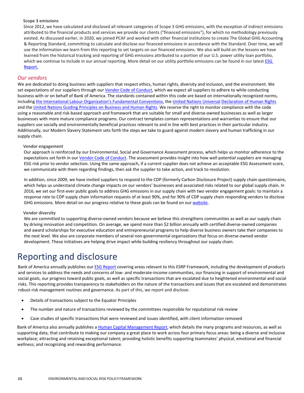#### <span id="page-14-0"></span>**Scope 3 emissions**

Since 2012, we have calculated and disclosed all relevant categories of Scope 3 GHG emissions, with the exception of indirect emissions attributed to the financial products and services we provide our clients ("financed emissions"), for which no methodology previously existed. As discussed earlier, in 2020, we joined PCAF and worked with other financial institutions to create The Global GHG Accounting & Reporting Standard, committing to calculate and disclose our financed emissions in accordance with the Standard. Over time, we will use the information we learn from this reporting to set targets on our financed emissions. We also will build on the lessons we have learned from the historical tracking and reporting of GHG emissions attributed to a portion of our U.S. power utility loan portfolio, which we continue to include in our annual reporting. More detail on our utility portfolio emissions can be found in our latest ESG [Report.](https://about.bankofamerica.com/en-us/what-guides-us/report-center.html#fbid%3DhonN3prztOj)

#### <span id="page-14-1"></span>*Our vendors*

We are dedicated to doing business with suppliers that respect ethics, human rights, diversity and inclusion, and the environment. We set expectations of our suppliers through our [Vendor Code of Conduct,](https://about.bankofamerica.com/assets/pdf/Bank_of_America_Vendor_Code_of_Conduct.pdf) which we expect all suppliers to adhere to while conducting business with or on behalf of Bank of America. The standards contained within this code are based on internationally recognized norms, includin[g the International Labour Organization's Fundamental Conventions,](https://www.ilo.org/declaration/info/publications/WCMS_095895/lang--en/index.htm) the United Nations Universal [Declaration of Human Rights](https://www.un.org/en/universal-declaration-human-rights/) and the [United Nations Guiding Principles on Business and Human Rights.](https://www.ohchr.org/documents/publications/guidingprinciplesbusinesshr_en.pdf) We reserve the right to monitor compliance with the code using a reasonable and risk-based approach and framework that are suitable for small and diverse-owned businesses as well as larger businesses with more mature compliance programs. Our contract templates contain representations and warranties to ensure that our suppliers use socially and environmentally beneficial practices relevant to and in line with best practices in their particular industry. Additionally, ou[r Modern Slavery Statement](https://about.bankofamerica.com/assets/pdf/Modern-Slavery-Act.pdf) sets forth the steps we take to guard against modern slavery and human trafficking in our supply chain.

#### <span id="page-14-2"></span>**Vendor engagement**

Our approach is reinforced by our Environmental, Social and Governance Assessment process, which helps us monitor adherence to the expectations set forth in our *Vendor Code of Conduct*. The assessment provides insight into how well potential suppliers are managing ESG risk prior to vendor selection. Using the same approach, if a current supplier does not achieve an acceptable ESG Assessment score, we communicate with them regarding findings, then ask the supplier to take action, and track to resolution.

In addition, since 2009, we have invited suppliers to respond to the CDP (formerly Carbon Disclosure Project) supply chain questionnaire, which helps us understand climate change impacts on our vendors' businesses and associated risks related to our global supply chain. In 2016, we set our first-ever public goals to address GHG emissions in our supply chain with two vendor engagement goals: to maintain a response rate to CDP supply chain information requests of at least 90%, and for 90% of CDP supply chain responding vendors to disclose GHG emissions. More detail on our progress relative to these goals can be found on ou[r website.](https://about.bankofamerica.com/en-us/what-guides-us/vendor-management.html?bcen=8a6b&fbid=vagqkbor74S)

#### <span id="page-14-3"></span>**Vendor diversity**

We are committed to supporting diverse-owned vendors because we believe this strengthens communities as well as our supply chain by driving innovation and competition. On average, we spend more than \$2 billion annually with certified diverse-owned companies and award scholarships for executive education and entrepreneurial programs to help diverse business owners take their companies to the next level. We also are corporate members of several non-governmental organizations that focus on diverse-owned vendor development. These initiatives are helping drive impact while building resiliency throughout our supply chain.

# <span id="page-14-4"></span>Reporting and disclosure

Bank of America annually publishes ou[r ESG Report](https://about.bankofamerica.com/en-us/what-guides-us/report-center.html#fbid%3DhonN3prztOj) covering areas relevant to this ESRP Framework, including the development of products and services to address the needs and concerns of low- and moderate-income communities, our financing in support of environmental and social goals, our progress toward public goals, as well as specific transactions that are escalated due to heightened environmental and social risks. This reporting provides transparency to stakeholders on the nature of the transactions and issues that are escalated and demonstrates robust risk management routines and governance. As part of this, we report and disclose:

- Details of transactions subject to the Equator Principles
- The number and nature of transactions reviewed by the committees responsible for reputational risk review
- Case studies of specific transactions that were reviewed and issues identified, with client information removed

Bank of America also annually publishes [a Human Capital Management Report](http://investor.bankofamerica.com/news-releases/news-release-details/bank-america-issues-2020-human-capital-management-report), which details the many programs and resources, as well as supporting data, that contribute to making our company a great place to work across four primary focus areas: being a diverse and inclusive workplace; attracting and retaining exceptional talent; providing holistic benefits supporting teammates' physical, emotional and financial wellness; and recognizing and rewarding performance.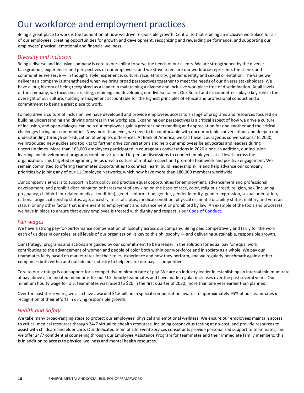# <span id="page-15-0"></span>Our workforce and employment practices

Being a great place to work is the foundation of how we drive responsible growth. Central to that is being an inclusive workplace for all of our employees, creating opportunities for growth and development, recognizing and rewarding performance, and supporting our employees' physical, emotional and financial wellness.

### <span id="page-15-1"></span>*Diversity and inclusion*

Being a diverse and inclusive company is core to our ability to serve the needs of our clients. We are strengthened by the diverse backgrounds, experiences and perspectives of our employees, and we strive to ensure our workforce represents the clients and communities we serve — in thought, style, experience, culture, race, ethnicity, gender identity and sexual orientation. The value we deliver as a company is strengthened when we bring broad perspectives together to meet the needs of our diverse stakeholders. We have a long history of being recognized as a leader in maintaining a diverse and inclusive workplace free of discrimination. At all levels of the company, we focus on attracting, retaining and developing our diverse talent. Our Board and its committees play a key role in the oversight of our culture, holding management accountable for the highest principles of ethical and professional conduct and a commitment to being a great place to work.

To help drive a culture of inclusion, we have developed and provide employees access to a range of programs and resources focused on building understanding and driving progress in the workplace. Expanding our perspectives is a critical aspect of how we drive a culture of inclusion, and open dialogue can help our employees gain a greater understanding and appreciation for one another and the critical challenges facing our communities. Now more than ever, we need to be comfortable with uncomfortable conversations and deepen our understanding through self-education of people's differences. At Bank of America, we call these 'courageous conversations.' In 2020, we introduced new guides and toolkits to further drive conversations and help our employees be advocates and leaders during uncertain times. More than 165,000 employees participated in courageous conversations in 2020 alone. In addition, our inclusion learning and development programs combine virtual and in-person discussions to connect employees at all levels across the organization. This targeted programing helps drive a culture of mutual respect and promote teamwork and positive engagement. We remain committed to offering teammates opportunities to connect, learn, build leadership skills and help advance our company priorities by joining any of our 11 Employee Networks, which now have more than 180,000 members worldwide.

Our company's ethos is to support in both policy and practice equal opportunities for employment, advancement and professional development, and prohibit discrimination or harassment of any kind on the basis of race, color, religious creed, religion, sex (including pregnancy, childbirth or related medical condition), genetic information, gender, gender identity, gender expression, sexual orientation, national origin, citizenship status, age, ancestry, marital status, medical condition, physical or mental disability status, military and veteran status, or any other factor that is irrelevant to employment and advancement or prohibited by law. An example of the tools and processes we have in place to ensure that every employee is treated with dignity and respect is our Code of [Conduct.](http://investor.bankofamerica.com/index.php/corporate-governance/code-of-conduct)

### <span id="page-15-2"></span>*Fair wages*

We have a strong pay-for-performance compensation philosophy across our company. Being paid competitively and fairly for the work each of us does in our roles, at all levels of our organization, is key to this philosophy — and delivering sustainable, responsible growth.

Our strategy, programs and actions are guided by our commitment to be a leader in the solution for equal pay for equal work, contributing to the advancement of women and people of color both within our workforce and in society as a whole. We pay our teammates fairly based on market rates for their roles, experience and how they perform, and we regularly benchmark against other companies both within and outside our industry to help ensure our pay is competitive.

Core to our strategy is our support for a competitive minimum rate of pay. We are an industry leader in establishing an internal minimum rate of pay above all mandated minimums for our U.S. hourly teammates and have made regular increases over the past several years. Our minimum hourly wage for U.S. teammates was raised to \$20 in the first quarter of 2020, more than one year earlier than planned.

Over the past three years, we also have awarded \$1.6 billion in special compensation awards to approximately 95% of our teammates in recognition of their efforts in driving responsible growth.

# <span id="page-15-3"></span>*Health and Safety*

We take many broad-ranging steps to protect our employees' physical and emotional wellness. We ensure our employees maintain access to critical medical resources through 24/7 virtual telehealth resources, including coronavirus testing at no-cost, and provide resources to assist with childcare and elder care. Our dedicated team of Life Event Services consultants provide personalized support to teammates, and we offer 24/7 confidential counseling through our Employee Assistance Program for teammates and their immediate family members; this is in addition to access to physical wellness and mental health resources.